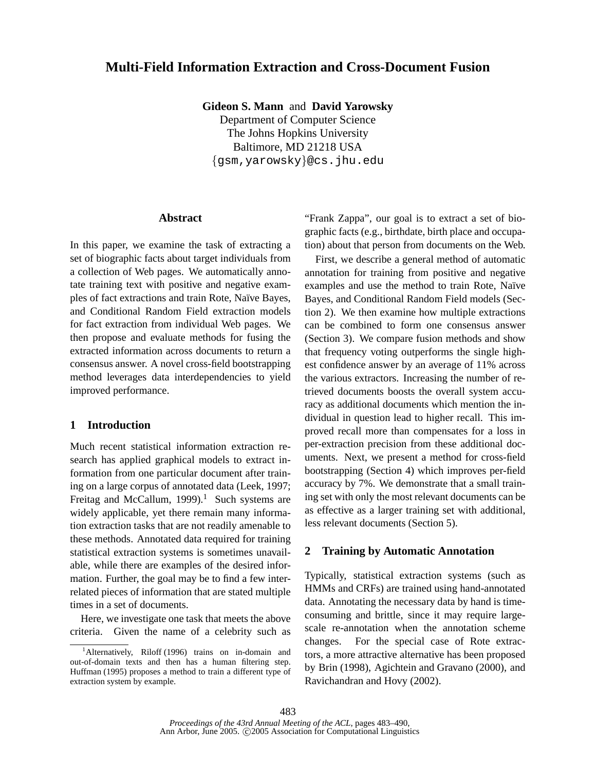# **Multi-Field Information Extraction and Cross-Document Fusion**

**Gideon S. Mann** and **David Yarowsky**

Department of Computer Science The Johns Hopkins University Baltimore, MD 21218 USA {gsm,yarowsky}@cs.jhu.edu

### **Abstract**

In this paper, we examine the task of extracting a set of biographic facts about target individuals from a collection of Web pages. We automatically annotate training text with positive and negative examples of fact extractions and train Rote, Naïve Bayes, and Conditional Random Field extraction models for fact extraction from individual Web pages. We then propose and evaluate methods for fusing the extracted information across documents to return a consensus answer. A novel cross-field bootstrapping method leverages data interdependencies to yield improved performance.

# **1 Introduction**

Much recent statistical information extraction research has applied graphical models to extract information from one particular document after training on a large corpus of annotated data (Leek, 1997; Freitag and McCallum,  $1999$ ).<sup>1</sup> Such systems are widely applicable, yet there remain many information extraction tasks that are not readily amenable to these methods. Annotated data required for training statistical extraction systems is sometimes unavailable, while there are examples of the desired information. Further, the goal may be to find a few interrelated pieces of information that are stated multiple times in a set of documents.

Here, we investigate one task that meets the above criteria. Given the name of a celebrity such as

"Frank Zappa", our goal is to extract a set of biographic facts (e.g., birthdate, birth place and occupation) about that person from documents on the Web.

First, we describe a general method of automatic annotation for training from positive and negative examples and use the method to train Rote, Naïve Bayes, and Conditional Random Field models (Section 2). We then examine how multiple extractions can be combined to form one consensus answer (Section 3). We compare fusion methods and show that frequency voting outperforms the single highest confidence answer by an average of 11% across the various extractors. Increasing the number of retrieved documents boosts the overall system accuracy as additional documents which mention the individual in question lead to higher recall. This improved recall more than compensates for a loss in per-extraction precision from these additional documents. Next, we present a method for cross-field bootstrapping (Section 4) which improves per-field accuracy by 7%. We demonstrate that a small training set with only the most relevant documents can be as effective as a larger training set with additional, less relevant documents (Section 5).

### **2 Training by Automatic Annotation**

Typically, statistical extraction systems (such as HMMs and CRFs) are trained using hand-annotated data. Annotating the necessary data by hand is timeconsuming and brittle, since it may require largescale re-annotation when the annotation scheme changes. For the special case of Rote extractors, a more attractive alternative has been proposed by Brin (1998), Agichtein and Gravano (2000), and Ravichandran and Hovy (2002).

<sup>&</sup>lt;sup>1</sup>Alternatively, Riloff (1996) trains on in-domain and out-of-domain texts and then has a human filtering step. Huffman (1995) proposes a method to train a different type of extraction system by example.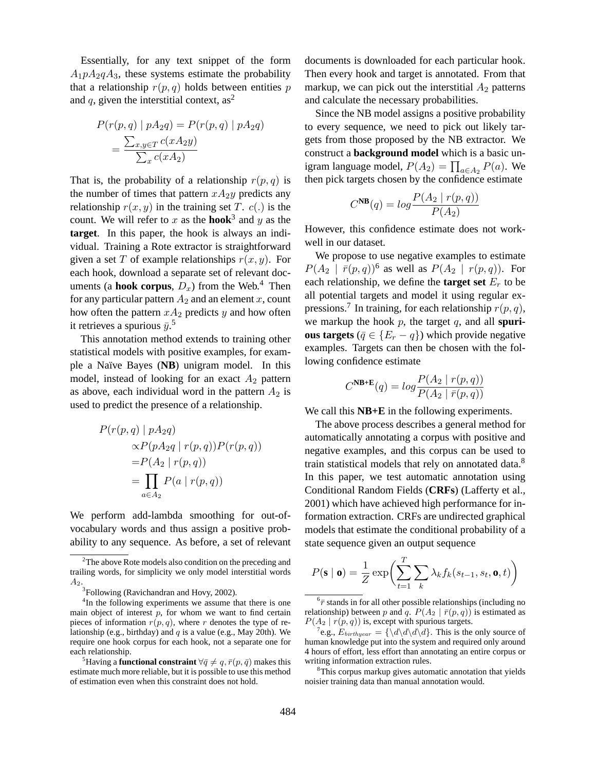Essentially, for any text snippet of the form  $A_1pA_2qA_3$ , these systems estimate the probability that a relationship  $r(p, q)$  holds between entities p and q, given the interstitial context,  $as<sup>2</sup>$ 

$$
P(r(p,q) | p A_2 q) = P(r(p,q) | p A_2 q)
$$

$$
= \frac{\sum_{x,y \in T} c(x A_2 y)}{\sum_x c(x A_2)}
$$

That is, the probability of a relationship  $r(p, q)$  is the number of times that pattern  $xA_2y$  predicts any relationship  $r(x, y)$  in the training set T.  $c(.)$  is the count. We will refer to x as the **hook**<sup>3</sup> and y as the **target**. In this paper, the hook is always an individual. Training a Rote extractor is straightforward given a set T of example relationships  $r(x, y)$ . For each hook, download a separate set of relevant documents (a **hook corpus**,  $D_x$ ) from the Web.<sup>4</sup> Then for any particular pattern  $A_2$  and an element x, count how often the pattern  $xA_2$  predicts y and how often it retrieves a spurious  $\bar{y}$ .<sup>5</sup>

This annotation method extends to training other statistical models with positive examples, for example a Naïve Bayes (NB) unigram model. In this model, instead of looking for an exact  $A_2$  pattern as above, each individual word in the pattern  $A_2$  is used to predict the presence of a relationship.

$$
P(r(p,q) | pA_2q)
$$
  
\n
$$
\propto P(pA_2q | r(p,q))P(r(p,q))
$$
  
\n
$$
= P(A_2 | r(p,q))
$$
  
\n
$$
= \prod_{a \in A_2} P(a | r(p,q))
$$

We perform add-lambda smoothing for out-ofvocabulary words and thus assign a positive probability to any sequence. As before, a set of relevant documents is downloaded for each particular hook. Then every hook and target is annotated. From that markup, we can pick out the interstitial  $A_2$  patterns and calculate the necessary probabilities.

Since the NB model assigns a positive probability to every sequence, we need to pick out likely targets from those proposed by the NB extractor. We construct a **background model** which is a basic unigram language model,  $P(A_2) = \prod_{a \in A_2} P(a)$ . We then pick targets chosen by the confidence estimate

$$
C^{\text{NB}}(q) = \log \frac{P(A_2 \mid r(p, q))}{P(A_2)}
$$

However, this confidence estimate does not workwell in our dataset.

We propose to use negative examples to estimate  $P(A_2 | \bar{r}(p,q))^6$  as well as  $P(A_2 | r(p,q))$ . For each relationship, we define the **target set**  $E_r$  to be all potential targets and model it using regular expressions.<sup>7</sup> In training, for each relationship  $r(p, q)$ , we markup the hook  $p$ , the target  $q$ , and all **spurious targets** ( $\bar{q}$  ∈ { $E_r - q$ }) which provide negative examples. Targets can then be chosen with the following confidence estimate

$$
C^{\text{NB+E}}(q) = \log \frac{P(A_2 \mid r(p,q))}{P(A_2 \mid \bar{r}(p,q))}
$$

We call this **NB+E** in the following experiments.

The above process describes a general method for automatically annotating a corpus with positive and negative examples, and this corpus can be used to train statistical models that rely on annotated data.<sup>8</sup> In this paper, we test automatic annotation using Conditional Random Fields (**CRFs**) (Lafferty et al., 2001) which have achieved high performance for information extraction. CRFs are undirected graphical models that estimate the conditional probability of a state sequence given an output sequence

$$
P(\mathbf{s} \mid \mathbf{o}) = \frac{1}{Z} \exp \bigg( \sum_{t=1}^{T} \sum_{k} \lambda_k f_k(s_{t-1}, s_t, \mathbf{o}, t) \bigg)
$$

 $2$ The above Rote models also condition on the preceding and trailing words, for simplicity we only model interstitial words  $A_2$ .

<sup>&</sup>lt;sup>3</sup>Following (Ravichandran and Hovy, 2002).

<sup>&</sup>lt;sup>4</sup>In the following experiments we assume that there is one main object of interest  $p$ , for whom we want to find certain pieces of information  $r(p, q)$ , where r denotes the type of relationship (e.g., birthday) and  $q$  is a value (e.g., May 20th). We require one hook corpus for each hook, not a separate one for each relationship.

<sup>&</sup>lt;sup>5</sup>Having a **functional constraint**  $\forall \bar{q} \neq q, \bar{r}(p, \bar{q})$  makes this estimate much more reliable, but it is possible to use this method of estimation even when this constraint does not hold.

 $6\bar{\tau}$  stands in for all other possible relationships (including no relationship) between p and q.  $P(A_2 | \bar{r}(p,q))$  is estimated as  $P(A_2 | r(p,q))$  is, except with spurious targets.

<sup>&</sup>lt;sup>7</sup>e.g.,  $E_{birthyear} = {\{\dagger}d\{d\}d\}$ . This is the only source of human knowledge put into the system and required only around 4 hours of effort, less effort than annotating an entire corpus or writing information extraction rules.

<sup>&</sup>lt;sup>8</sup>This corpus markup gives automatic annotation that yields noisier training data than manual annotation would.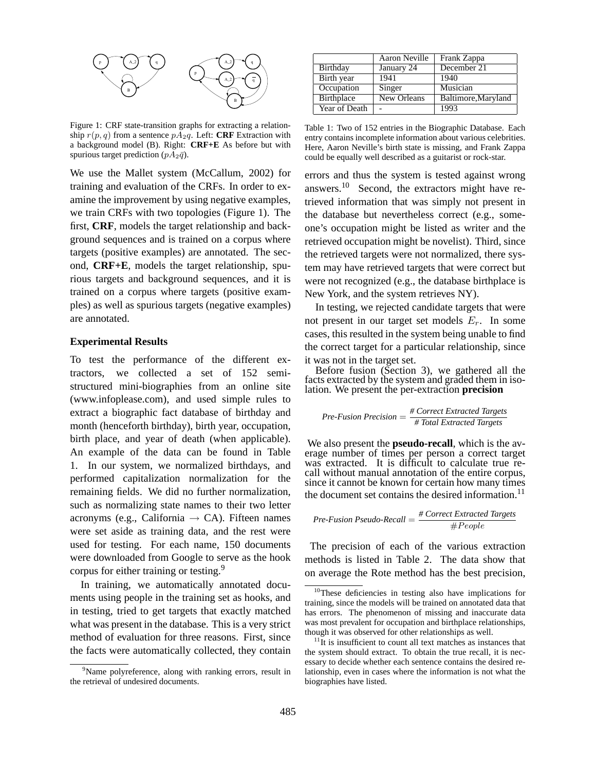

Figure 1: CRF state-transition graphs for extracting a relationship  $r(p, q)$  from a sentence  $pA_2q$ . Left: **CRF** Extraction with a background model (B). Right: **CRF+E** As before but with spurious target prediction ( $p\overline{A}_2\overline{q}$ ).

We use the Mallet system (McCallum, 2002) for training and evaluation of the CRFs. In order to examine the improvement by using negative examples, we train CRFs with two topologies (Figure 1). The first, **CRF**, models the target relationship and background sequences and is trained on a corpus where targets (positive examples) are annotated. The second, **CRF+E**, models the target relationship, spurious targets and background sequences, and it is trained on a corpus where targets (positive examples) as well as spurious targets (negative examples) are annotated.

#### **Experimental Results**

To test the performance of the different extractors, we collected a set of 152 semistructured mini-biographies from an online site (www.infoplease.com), and used simple rules to extract a biographic fact database of birthday and month (henceforth birthday), birth year, occupation, birth place, and year of death (when applicable). An example of the data can be found in Table 1. In our system, we normalized birthdays, and performed capitalization normalization for the remaining fields. We did no further normalization, such as normalizing state names to their two letter acronyms (e.g., California  $\rightarrow$  CA). Fifteen names were set aside as training data, and the rest were used for testing. For each name, 150 documents were downloaded from Google to serve as the hook corpus for either training or testing.<sup>9</sup>

In training, we automatically annotated documents using people in the training set as hooks, and in testing, tried to get targets that exactly matched what was present in the database. This is a very strict method of evaluation for three reasons. First, since the facts were automatically collected, they contain

|               | <b>Aaron Neville</b> | Frank Zappa         |
|---------------|----------------------|---------------------|
| Birthday      | January 24           | December 21         |
| Birth year    | 1941                 | 1940                |
| Occupation    | Singer               | Musician            |
| Birthplace    | New Orleans          | Baltimore, Maryland |
| Year of Death |                      | 1993                |

Table 1: Two of 152 entries in the Biographic Database. Each entry contains incomplete information about various celebrities. Here, Aaron Neville's birth state is missing, and Frank Zappa could be equally well described as a guitarist or rock-star.

errors and thus the system is tested against wrong answers.<sup>10</sup> Second, the extractors might have retrieved information that was simply not present in the database but nevertheless correct (e.g., someone's occupation might be listed as writer and the retrieved occupation might be novelist). Third, since the retrieved targets were not normalized, there system may have retrieved targets that were correct but were not recognized (e.g., the database birthplace is New York, and the system retrieves NY).

In testing, we rejected candidate targets that were not present in our target set models  $E_r$ . In some cases, this resulted in the system being unable to find the correct target for a particular relationship, since it was not in the target set.

Before fusion (Section 3), we gathered all the facts extracted by the system and graded them in isolation. We present the per-extraction **precision**

$$
Pre-Fusion Precision = \frac{\# Correct\ Extracted~Targets}{\# Total\ Extracted~Targets}
$$

We also present the **pseudo-recall**, which is the average number of times per person a correct target was extracted. It is difficult to calculate true recall without manual annotation of the entire corpus, since it cannot be known for certain how many times the document set contains the desired information.<sup>11</sup>

$$
Pre-Fusion \ Pseudo\text{-}Recall = \frac{\# Correct \ Extracted \ Targest}{\# People}
$$

The precision of each of the various extraction methods is listed in Table 2. The data show that on average the Rote method has the best precision,

<sup>&</sup>lt;sup>9</sup>Name polyreference, along with ranking errors, result in the retrieval of undesired documents.

<sup>10</sup>These deficiencies in testing also have implications for training, since the models will be trained on annotated data that has errors. The phenomenon of missing and inaccurate data was most prevalent for occupation and birthplace relationships, though it was observed for other relationships as well.

 $11$ It is insufficient to count all text matches as instances that the system should extract. To obtain the true recall, it is necessary to decide whether each sentence contains the desired relationship, even in cases where the information is not what the biographies have listed.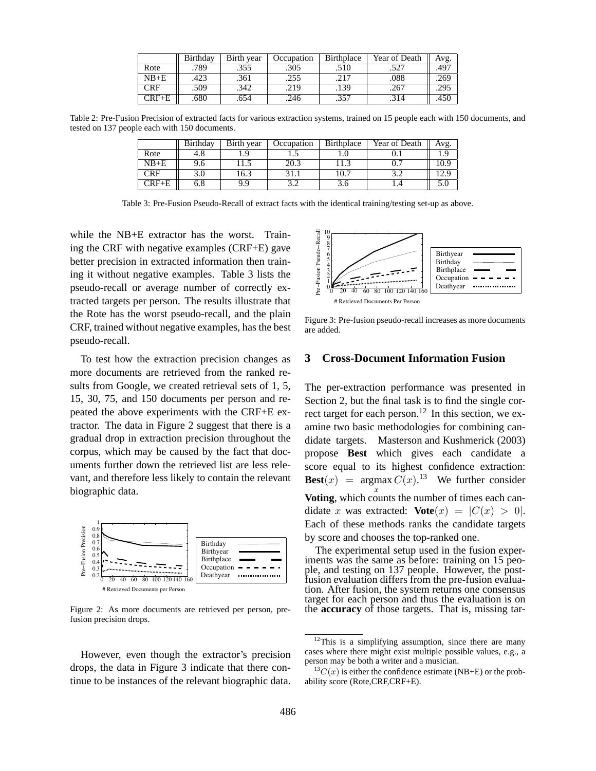|               | Birthday | Birth year | Occupation | <b>Birthplace</b> | Year of Death | Avg. |
|---------------|----------|------------|------------|-------------------|---------------|------|
| Rote          | 789      | .355       | .305       | .510              |               | .497 |
| $NB+E$        | 423      | .361       | .255       | .217              | .088          | .269 |
| CRF           | .509     | .342       | .219       | .139              | .267          | .295 |
| $\rm CRF{+}E$ | 680      | .654       | .246       | .357              | .314          | .450 |

Table 2: Pre-Fusion Precision of extracted facts for various extraction systems, trained on 15 people each with 150 documents, and tested on 137 people each with 150 documents.

|            | Birthday | Birth year | Occupation | Birthplace | Year of Death | Avg. |
|------------|----------|------------|------------|------------|---------------|------|
| Rote       | 4.8      |            |            |            |               | - Q  |
| $NB+E$     | 9.6      |            | 20.3       | 11.3       |               | 10.9 |
| <b>CRF</b> | 3.0      | 16.3       |            | 10.7       |               | 2.9  |
| $CRF+E$    | 6.8      | Q Q        | ے . د      | o.c        |               | D.U  |

Table 3: Pre-Fusion Pseudo-Recall of extract facts with the identical training/testing set-up as above.

while the NB+E extractor has the worst. Training the CRF with negative examples (CRF+E) gave better precision in extracted information then training it without negative examples. Table 3 lists the pseudo-recall or average number of correctly extracted targets per person. The results illustrate that the Rote has the worst pseudo-recall, and the plain CRF, trained without negative examples, has the best pseudo-recall.

To test how the extraction precision changes as more documents are retrieved from the ranked results from Google, we created retrieval sets of 1, 5, 15, 30, 75, and 150 documents per person and repeated the above experiments with the CRF+E extractor. The data in Figure 2 suggest that there is a gradual drop in extraction precision throughout the corpus, which may be caused by the fact that documents further down the retrieved list are less relevant, and therefore less likely to contain the relevant biographic data.



Figure 2: As more documents are retrieved per person, prefusion precision drops.

However, even though the extractor's precision drops, the data in Figure 3 indicate that there continue to be instances of the relevant biographic data.



Figure 3: Pre-fusion pseudo-recall increases as more documents are added.

### **3 Cross-Document Information Fusion**

The per-extraction performance was presented in Section 2, but the final task is to find the single correct target for each person.<sup>12</sup> In this section, we examine two basic methodologies for combining candidate targets. Masterson and Kushmerick (2003) propose **Best** which gives each candidate a score equal to its highest confidence extraction: **Best** $(x)$  = argmax  $C(x)$ .<sup>13</sup> We further consider **Voting**, which counts the number of times each candidate x was extracted:  $\text{Vote}(x) = |C(x)| > 0$ . Each of these methods ranks the candidate targets by score and chooses the top-ranked one.

The experimental setup used in the fusion experiments was the same as before: training on 15 people, and testing on 137 people. However, the postfusion evaluation differs from the pre-fusion evaluation. After fusion, the system returns one consensus target for each person and thus the evaluation is on the **accuracy** of those targets. That is, missing tar-

<sup>&</sup>lt;sup>12</sup>This is a simplifying assumption, since there are many cases where there might exist multiple possible values, e.g., a person may be both a writer and a musician.

 $^{13}C(x)$  is either the confidence estimate (NB+E) or the probability score (Rote,CRF,CRF+E).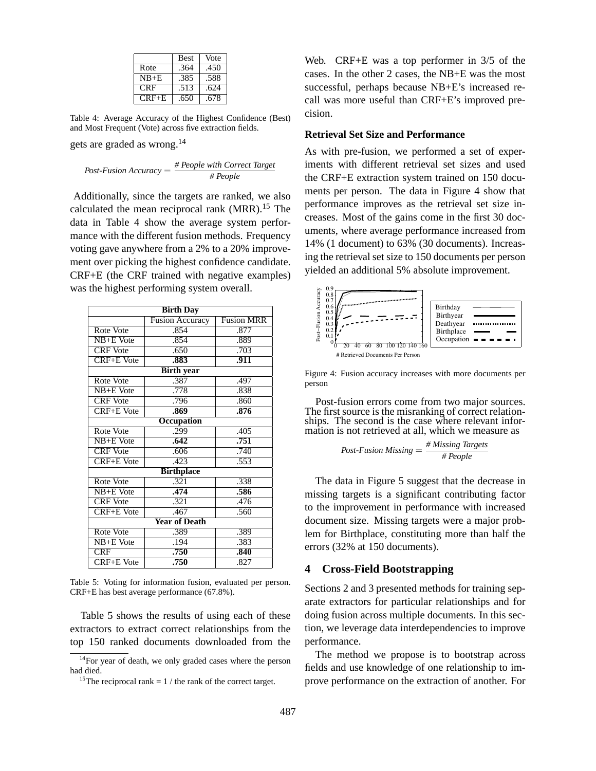|            | <b>Best</b> | Vote |
|------------|-------------|------|
| Rote       | .364        | .450 |
| $NB+E$     | .385        | .588 |
| <b>CRF</b> | .513        | .624 |
| $CRF + E$  | .650        | .678 |

Table 4: Average Accuracy of the Highest Confidence (Best) and Most Frequent (Vote) across five extraction fields.

gets are graded as wrong.<sup>14</sup>

$$
Post-Fusion Accuracy = \frac{\# People\ with\ Correct\ Target}{\# People}
$$

Additionally, since the targets are ranked, we also calculated the mean reciprocal rank  $(MRR)$ <sup>15</sup>. The data in Table 4 show the average system performance with the different fusion methods. Frequency voting gave anywhere from a 2% to a 20% improvement over picking the highest confidence candidate. CRF+E (the CRF trained with negative examples) was the highest performing system overall.

| <b>Birth Day</b>                  |                   |  |  |  |  |
|-----------------------------------|-------------------|--|--|--|--|
| <b>Fusion Accuracy</b>            | <b>Fusion MRR</b> |  |  |  |  |
| .854                              | .877              |  |  |  |  |
| .854                              | .889              |  |  |  |  |
| .650                              | .703              |  |  |  |  |
| .883                              | .911              |  |  |  |  |
| <b>Birth year</b>                 |                   |  |  |  |  |
| .387                              | .497              |  |  |  |  |
|                                   | .838              |  |  |  |  |
| .796                              | .860              |  |  |  |  |
| .869                              | .876              |  |  |  |  |
| <b>Occupation</b>                 |                   |  |  |  |  |
| .299                              | .405              |  |  |  |  |
| .642                              | .751              |  |  |  |  |
| .606                              | .740              |  |  |  |  |
| .423                              | .553              |  |  |  |  |
| <b>Birthplace</b>                 |                   |  |  |  |  |
|                                   | .338              |  |  |  |  |
| .474                              | .586              |  |  |  |  |
| .321                              | .476              |  |  |  |  |
| .467                              | .560              |  |  |  |  |
| <b>Year of Death</b><br>Rote Vote |                   |  |  |  |  |
| .389                              | .389              |  |  |  |  |
| .194                              | .383              |  |  |  |  |
| .750                              | .840              |  |  |  |  |
| .750                              | .827              |  |  |  |  |
|                                   | .778<br>.321      |  |  |  |  |

Table 5: Voting for information fusion, evaluated per person. CRF+E has best average performance (67.8%).

Table 5 shows the results of using each of these extractors to extract correct relationships from the top 150 ranked documents downloaded from the Web. CRF+E was a top performer in 3/5 of the cases. In the other 2 cases, the NB+E was the most successful, perhaps because NB+E's increased recall was more useful than CRF+E's improved precision.

# **Retrieval Set Size and Performance**

As with pre-fusion, we performed a set of experiments with different retrieval set sizes and used the CRF+E extraction system trained on 150 documents per person. The data in Figure 4 show that performance improves as the retrieval set size increases. Most of the gains come in the first 30 documents, where average performance increased from 14% (1 document) to 63% (30 documents). Increasing the retrieval set size to 150 documents per person yielded an additional 5% absolute improvement.



Figure 4: Fusion accuracy increases with more documents per person

Post-fusion errors come from two major sources. The first source is the misranking of correct relationships. The second is the case where relevant information is not retrieved at all, which we measure as

$$
Post-Fusion\,Missing = \frac{\# \,Missing\; Targets}{\# People}
$$

The data in Figure 5 suggest that the decrease in missing targets is a significant contributing factor to the improvement in performance with increased document size. Missing targets were a major problem for Birthplace, constituting more than half the errors (32% at 150 documents).

### **4 Cross-Field Bootstrapping**

Sections 2 and 3 presented methods for training separate extractors for particular relationships and for doing fusion across multiple documents. In this section, we leverage data interdependencies to improve performance.

The method we propose is to bootstrap across fields and use knowledge of one relationship to improve performance on the extraction of another. For

<sup>&</sup>lt;sup>14</sup>For year of death, we only graded cases where the person had died.

<sup>&</sup>lt;sup>15</sup>The reciprocal rank = 1 / the rank of the correct target.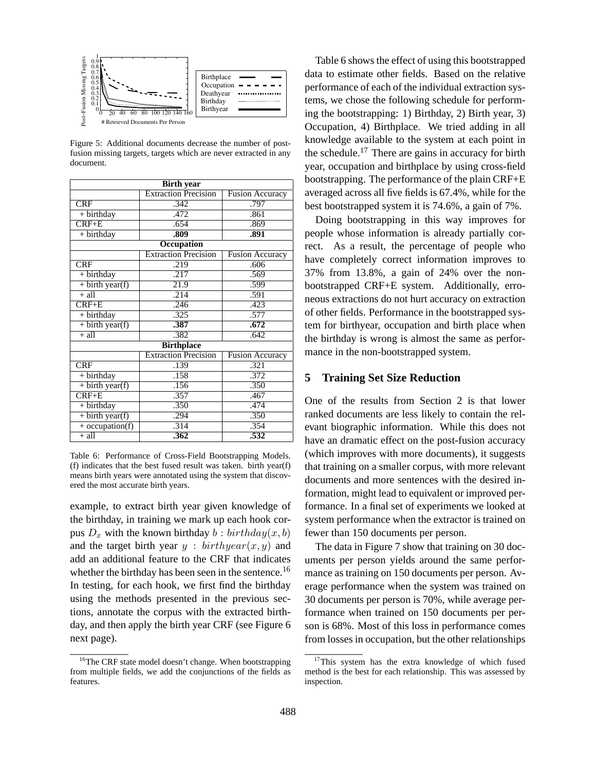

Figure 5: Additional documents decrease the number of postfusion missing targets, targets which are never extracted in any document.

| <b>Birth</b> year    |                             |                        |  |  |  |
|----------------------|-----------------------------|------------------------|--|--|--|
|                      | <b>Extraction Precision</b> | <b>Fusion Accuracy</b> |  |  |  |
| <b>CRF</b>           | .342                        | .797                   |  |  |  |
| $+$ birthday         | .472                        | .861                   |  |  |  |
| $CRF+E$              | .654                        | .869                   |  |  |  |
| $+ \text{birthday}$  | .809                        | .891                   |  |  |  |
| <b>Occupation</b>    |                             |                        |  |  |  |
|                      | <b>Extraction Precision</b> | <b>Fusion Accuracy</b> |  |  |  |
| <b>CRF</b>           | .219                        | .606                   |  |  |  |
| $+$ birthday         | .217                        | .569                   |  |  |  |
| $+$ birth year(f)    | 21.9                        | .599                   |  |  |  |
| $+$ all              | .214                        | .591                   |  |  |  |
| $CRF+E$              | .246                        | .423                   |  |  |  |
| $+$ birthday         | .325                        | .577                   |  |  |  |
| $+$ birth year(f)    | .387                        | .672                   |  |  |  |
| $+$ all              | .382                        | .642                   |  |  |  |
| <b>Birthplace</b>    |                             |                        |  |  |  |
|                      | <b>Extraction Precision</b> | <b>Fusion Accuracy</b> |  |  |  |
| <b>CRF</b>           | .139                        | .321                   |  |  |  |
| $+ \text{ birthday}$ | .158                        | .372                   |  |  |  |
| $+$ birth year(f)    | .156                        | .350                   |  |  |  |
| $CRF+E$              | .357                        | .467                   |  |  |  |
| $+ \text{ birthday}$ | .350                        | .474                   |  |  |  |
| $+$ birth year(f)    | .294                        | .350                   |  |  |  |
| $+$ occupation(f)    | .314                        | .354                   |  |  |  |
| $+$ all              | .362                        | .532                   |  |  |  |

Table 6: Performance of Cross-Field Bootstrapping Models. (f) indicates that the best fused result was taken. birth year(f) means birth years were annotated using the system that discovered the most accurate birth years.

example, to extract birth year given knowledge of the birthday, in training we mark up each hook corpus  $D_x$  with the known birthday  $b : birthday(x, b)$ and the target birth year  $y : \text{birth} \text{year}(x, y)$  and add an additional feature to the CRF that indicates whether the birthday has been seen in the sentence.<sup>16</sup> In testing, for each hook, we first find the birthday using the methods presented in the previous sections, annotate the corpus with the extracted birthday, and then apply the birth year CRF (see Figure 6 next page).

Table 6 shows the effect of using this bootstrapped data to estimate other fields. Based on the relative performance of each of the individual extraction systems, we chose the following schedule for performing the bootstrapping: 1) Birthday, 2) Birth year, 3) Occupation, 4) Birthplace. We tried adding in all knowledge available to the system at each point in the schedule.<sup>17</sup> There are gains in accuracy for birth year, occupation and birthplace by using cross-field bootstrapping. The performance of the plain CRF+E averaged across all five fields is 67.4%, while for the best bootstrapped system it is 74.6%, a gain of 7%.

Doing bootstrapping in this way improves for people whose information is already partially correct. As a result, the percentage of people who have completely correct information improves to 37% from 13.8%, a gain of 24% over the nonbootstrapped CRF+E system. Additionally, erroneous extractions do not hurt accuracy on extraction of other fields. Performance in the bootstrapped system for birthyear, occupation and birth place when the birthday is wrong is almost the same as performance in the non-bootstrapped system.

### **5 Training Set Size Reduction**

One of the results from Section 2 is that lower ranked documents are less likely to contain the relevant biographic information. While this does not have an dramatic effect on the post-fusion accuracy (which improves with more documents), it suggests that training on a smaller corpus, with more relevant documents and more sentences with the desired information, might lead to equivalent or improved performance. In a final set of experiments we looked at system performance when the extractor is trained on fewer than 150 documents per person.

The data in Figure 7 show that training on 30 documents per person yields around the same performance as training on 150 documents per person. Average performance when the system was trained on 30 documents per person is 70%, while average performance when trained on 150 documents per person is 68%. Most of this loss in performance comes from losses in occupation, but the other relationships

<sup>&</sup>lt;sup>16</sup>The CRF state model doesn't change. When bootstrapping from multiple fields, we add the conjunctions of the fields as features.

<sup>&</sup>lt;sup>17</sup>This system has the extra knowledge of which fused method is the best for each relationship. This was assessed by inspection.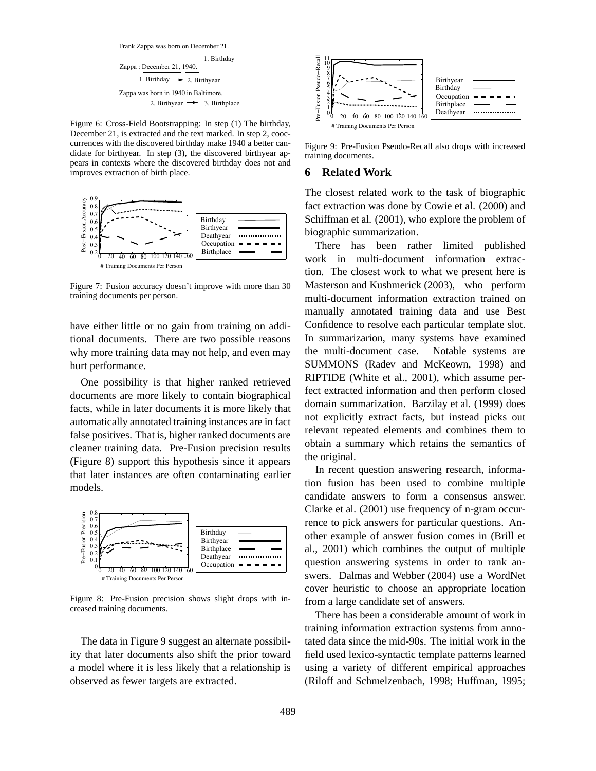

Figure 6: Cross-Field Bootstrapping: In step (1) The birthday, December 21, is extracted and the text marked. In step 2, cooccurrences with the discovered birthday make 1940 a better candidate for birthyear. In step (3), the discovered birthyear appears in contexts where the discovered birthday does not and improves extraction of birth place.



Figure 7: Fusion accuracy doesn't improve with more than 30 training documents per person.

have either little or no gain from training on additional documents. There are two possible reasons why more training data may not help, and even may hurt performance.

One possibility is that higher ranked retrieved documents are more likely to contain biographical facts, while in later documents it is more likely that automatically annotated training instances are in fact false positives. That is, higher ranked documents are cleaner training data. Pre-Fusion precision results (Figure 8) support this hypothesis since it appears that later instances are often contaminating earlier models.



Figure 8: Pre-Fusion precision shows slight drops with increased training documents.

The data in Figure 9 suggest an alternate possibility that later documents also shift the prior toward a model where it is less likely that a relationship is observed as fewer targets are extracted.



Figure 9: Pre-Fusion Pseudo-Recall also drops with increased training documents.

### **6 Related Work**

The closest related work to the task of biographic fact extraction was done by Cowie et al. (2000) and Schiffman et al. (2001), who explore the problem of biographic summarization.

There has been rather limited published work in multi-document information extraction. The closest work to what we present here is Masterson and Kushmerick (2003), who perform multi-document information extraction trained on manually annotated training data and use Best Confidence to resolve each particular template slot. In summarizarion, many systems have examined the multi-document case. Notable systems are SUMMONS (Radev and McKeown, 1998) and RIPTIDE (White et al., 2001), which assume perfect extracted information and then perform closed domain summarization. Barzilay et al. (1999) does not explicitly extract facts, but instead picks out relevant repeated elements and combines them to obtain a summary which retains the semantics of the original.

In recent question answering research, information fusion has been used to combine multiple candidate answers to form a consensus answer. Clarke et al. (2001) use frequency of n-gram occurrence to pick answers for particular questions. Another example of answer fusion comes in (Brill et al., 2001) which combines the output of multiple question answering systems in order to rank answers. Dalmas and Webber (2004) use a WordNet cover heuristic to choose an appropriate location from a large candidate set of answers.

There has been a considerable amount of work in training information extraction systems from annotated data since the mid-90s. The initial work in the field used lexico-syntactic template patterns learned using a variety of different empirical approaches (Riloff and Schmelzenbach, 1998; Huffman, 1995;